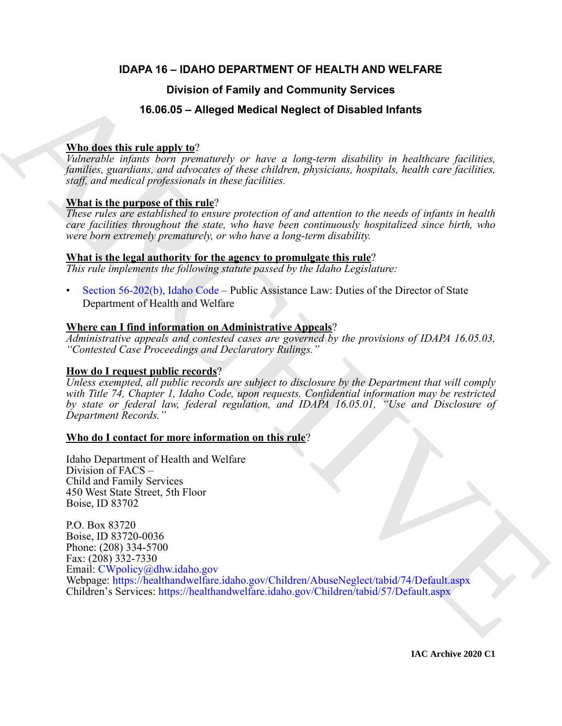## **IDAPA 16 – IDAHO DEPARTMENT OF HEALTH AND WELFARE**

## **Division of Family and Community Services**

## **16.06.05 – Alleged Medical Neglect of Disabled Infants**

### **Who does this rule apply to**?

*Vulnerable infants born prematurely or have a long-term disability in healthcare facilities, families, guardians, and advocates of these children, physicians, hospitals, health care facilities, staff, and medical professionals in these facilities.*

### **What is the purpose of this rule**?

*These rules are established to ensure protection of and attention to the needs of infants in health care facilities throughout the state, who have been continuously hospitalized since birth, who were born extremely prematurely, or who have a long-term disability.*

#### **What is the legal authority for the agency to promulgate this rule**?

*This rule implements the following statute passed by the Idaho Legislature:*

• Section 56-202(b), Idaho Code – Public Assistance Law: Duties of the Director of State Department of Health and Welfare

### **Where can I find information on Administrative Appeals**?

*Administrative appeals and contested cases are governed by the provisions of IDAPA 16.05.03, "Contested Case Proceedings and Declaratory Rulings."*

#### **How do I request public records**?

*Unless exempted, all public records are subject to disclosure by the Department that will comply with Title 74, Chapter 1, Idaho Code, upon requests. Confidential information may be restricted by state or federal law, federal regulation, and IDAPA 16.05.01, "Use and Disclosure of Department Records."*

#### **Who do I contact for more information on this rule**?

Idaho Department of Health and Welfare Division of FACS – Child and Family Services 450 West State Street, 5th Floor Boise, ID 83702

**Division of Family and Community Services**<br> **State this vehicle of the SO6.55 - Alleged Medical Neglect of Disabled Infants**<br> **Value discretion** regions have *neglection* or here a long-term disability in healthcase fact P.O. Box 83720 Boise, ID 83720-0036 Phone: (208) 334-5700 Fax: (208) 332-7330 Email: CWpolicy@dhw.idaho.gov Webpage: https://healthandwelfare.idaho.gov/Children/AbuseNeglect/tabid/74/Default.aspx Children's Services: https://healthandwelfare.idaho.gov/Children/tabid/57/Default.aspx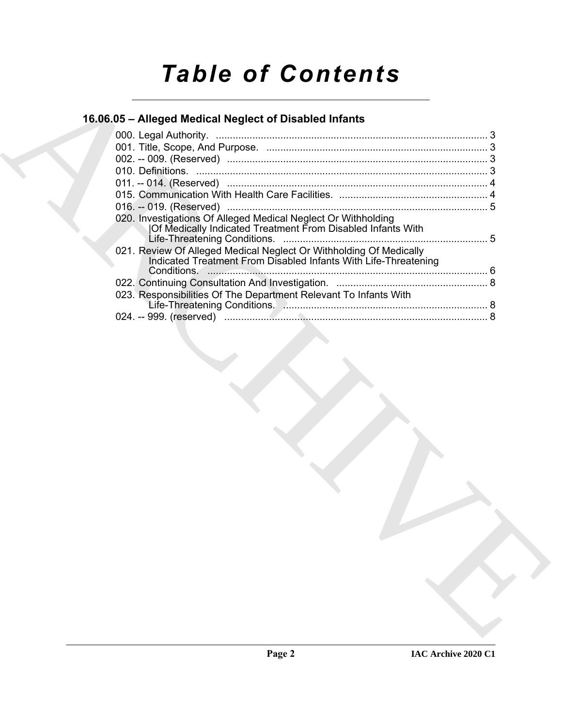# *Table of Contents*

## **16.06.05 – Alleged Medical Neglect of Disabled Infants**

| 16.06.05 - Alleged Medical Neglect of Disabled Infants |                                                                                                                                       |  |
|--------------------------------------------------------|---------------------------------------------------------------------------------------------------------------------------------------|--|
|                                                        |                                                                                                                                       |  |
|                                                        |                                                                                                                                       |  |
|                                                        |                                                                                                                                       |  |
|                                                        |                                                                                                                                       |  |
|                                                        |                                                                                                                                       |  |
|                                                        |                                                                                                                                       |  |
|                                                        | 020. Investigations Of Alleged Medical Neglect Or Withholding                                                                         |  |
|                                                        | Of Medically Indicated Treatment From Disabled Infants With                                                                           |  |
|                                                        |                                                                                                                                       |  |
|                                                        | 021. Review Of Alleged Medical Neglect Or Withholding Of Medically<br>Indicated Treatment From Disabled Infants With Life-Threatening |  |
|                                                        |                                                                                                                                       |  |
|                                                        |                                                                                                                                       |  |
|                                                        | 023. Responsibilities Of The Department Relevant To Infants With                                                                      |  |
|                                                        |                                                                                                                                       |  |
|                                                        |                                                                                                                                       |  |
|                                                        |                                                                                                                                       |  |
|                                                        |                                                                                                                                       |  |
|                                                        |                                                                                                                                       |  |
|                                                        |                                                                                                                                       |  |
|                                                        |                                                                                                                                       |  |
|                                                        |                                                                                                                                       |  |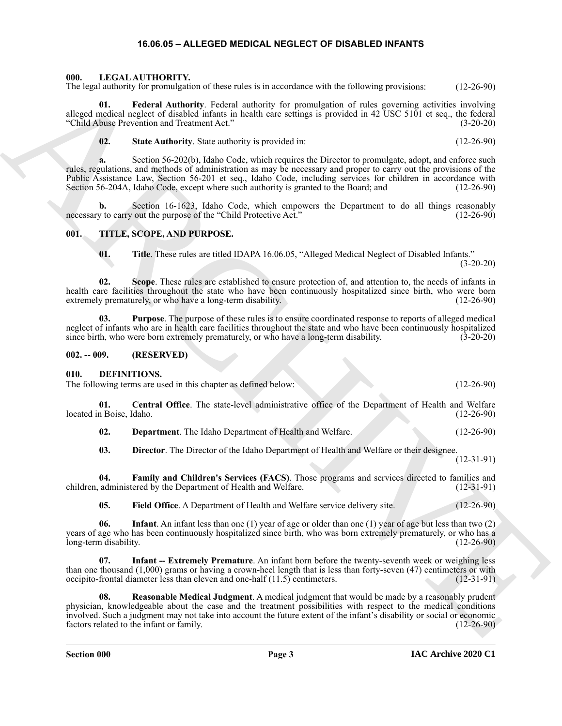#### **16.06.05 – ALLEGED MEDICAL NEGLECT OF DISABLED INFANTS**

#### <span id="page-2-14"></span><span id="page-2-1"></span><span id="page-2-0"></span>**000. LEGAL AUTHORITY.**

The legal authority for promulgation of these rules is in accordance with the following provisions: (12-26-90)

**01. Federal Authority**. Federal authority for promulgation of rules governing activities involving alleged medical neglect of disabled infants in health care settings is provided in 42 USC 5101 et seq., the federal "Child Abuse Prevention and Treatment Act." (3-20-20)

**02. State Authority**. State authority is provided in: (12-26-90)

The local method, in procedure the two-states in a method content with the divergenesian in the case of the content of the state of the state of the state of the state of the state of the state of the state of the state o **a.** Section 56-202(b), Idaho Code, which requires the Director to promulgate, adopt, and enforce such rules, regulations, and methods of administration as may be necessary and proper to carry out the provisions of the Public Assistance Law, Section 56-201 et seq., Idaho Code, including services for children in accordance with Section 56-204A, Idaho Code, except where such authority is granted to the Board; and (12-26-90)

**b.** Section 16-1623, Idaho Code, which empowers the Department to do all things reasonably necessary to carry out the purpose of the "Child Protective Act." (12-26-90)

#### <span id="page-2-2"></span>**001. TITLE, SCOPE, AND PURPOSE.**

**02. Scope**. These rules are established to ensure protection of, and attention to, the needs of infants in health care facilities throughout the state who have been continuously hospitalized since birth, who were born extremely prematurely, or who have a long-term disability. (12-26-90)

**03. Purpose**. The purpose of these rules is to ensure coordinated response to reports of alleged medical neglect of infants who are in health care facilities throughout the state and who have been continuously hospitalized since birth, who were born extremely prematurely, or who have a long-term disability. (3-20-20) since birth, who were born extremely prematurely, or who have a long-term disability.

#### <span id="page-2-3"></span>**002. -- 009. (RESERVED)**

#### <span id="page-2-5"></span><span id="page-2-4"></span>**010. DEFINITIONS.**

The following terms are used in this chapter as defined below: (12-26-90)

**01. Central Office**. The state-level administrative office of the Department of Health and Welfare located in Boise, Idaho.

<span id="page-2-7"></span><span id="page-2-6"></span>**02. Department**. The Idaho Department of Health and Welfare. (12-26-90)

<span id="page-2-9"></span><span id="page-2-8"></span>**03. Director**. The Director of the Idaho Department of Health and Welfare or their designee. (12-31-91)

**04. Family and Children's Services (FACS)**. Those programs and services directed to families and children, administered by the Department of Health and Welfare.

<span id="page-2-12"></span><span id="page-2-11"></span><span id="page-2-10"></span>**05.** Field Office. A Department of Health and Welfare service delivery site. (12-26-90)

**06. Infant**. An infant less than one (1) year of age or older than one (1) year of age but less than two (2) years of age who has been continuously hospitalized since birth, who was born extremely prematurely, or who has a<br>long-term disability. (12-26-90) long-term disability.

**Infant -- Extremely Premature**. An infant born before the twenty-seventh week or weighing less than one thousand  $(1,000)$  grams or having a crown-heel length that is less than forty-seven (47) centimeters or with occipito-frontal diameter less than eleven and one-half  $(11.5)$  centimeters.  $(12-31-91)$ occipito-frontal diameter less than eleven and one-half  $(11.5)$  centimeters.

<span id="page-2-13"></span>**08. Reasonable Medical Judgment**. A medical judgment that would be made by a reasonably prudent physician, knowledgeable about the case and the treatment possibilities with respect to the medical conditions involved. Such a judgment may not take into account the future extent of the infant's disability or social or economic factors related to the infant or family.

<span id="page-2-15"></span>**<sup>01.</sup> Title**. These rules are titled IDAPA 16.06.05, "Alleged Medical Neglect of Disabled Infants."  $(3-20-20)$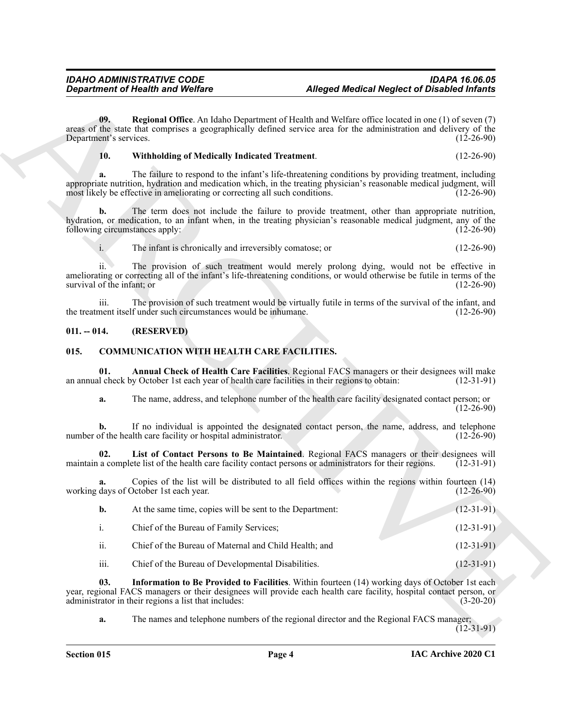#### <span id="page-3-7"></span><span id="page-3-6"></span>**10. Withholding of Medically Indicated Treatment**. (12-26-90)

#### <span id="page-3-0"></span>**011. -- 014. (RESERVED)**

#### <span id="page-3-5"></span><span id="page-3-4"></span><span id="page-3-3"></span><span id="page-3-2"></span><span id="page-3-1"></span>**015. COMMUNICATION WITH HEALTH CARE FACILITIES.**

|                               | <b>Department of Health and Welfare</b>                                                                                                                                                             |                                                                                                       | <b>Alleged Medical Neglect of Disabled Infants</b> |
|-------------------------------|-----------------------------------------------------------------------------------------------------------------------------------------------------------------------------------------------------|-------------------------------------------------------------------------------------------------------|----------------------------------------------------|
| 09.<br>Department's services. | areas of the state that comprises a geographically defined service area for the administration and delivery of the                                                                                  | Regional Office. An Idaho Department of Health and Welfare office located in one (1) of seven (7)     | $(12-26-90)$                                       |
| 10.                           | <b>Withholding of Medically Indicated Treatment.</b>                                                                                                                                                |                                                                                                       | $(12-26-90)$                                       |
| a.                            | appropriate nutrition, hydration and medication which, in the treating physician's reasonable medical judgment, will<br>most likely be effective in ameliorating or correcting all such conditions. | The failure to respond to the infant's life-threatening conditions by providing treatment, including  | $(12-26-90)$                                       |
| b.                            | hydration, or medication, to an infant when, in the treating physician's reasonable medical judgment, any of the<br>following circumstances apply:                                                  | The term does not include the failure to provide treatment, other than appropriate nutrition,         | $(12-26-90)$                                       |
| $\mathbf{i}$ .                | The infant is chronically and irreversibly comatose; or                                                                                                                                             |                                                                                                       | $(12-26-90)$                                       |
| survival of the infant; or    | ameliorating or correcting all of the infant's life-threatening conditions, or would otherwise be futile in terms of the                                                                            | The provision of such treatment would merely prolong dying, would not be effective in                 | $(12-26-90)$                                       |
| 111.                          | the treatment itself under such circumstances would be inhumane.                                                                                                                                    | The provision of such treatment would be virtually futile in terms of the survival of the infant, and | $(12-26-90)$                                       |
| $011. - 014.$                 | (RESERVED)                                                                                                                                                                                          |                                                                                                       |                                                    |
| 015.                          | <b>COMMUNICATION WITH HEALTH CARE FACILITIES.</b>                                                                                                                                                   |                                                                                                       |                                                    |
| 01.                           | an annual check by October 1st each year of health care facilities in their regions to obtain:                                                                                                      | Annual Check of Health Care Facilities. Regional FACS managers or their designees will make           | $(12-31-91)$                                       |
| a.                            |                                                                                                                                                                                                     | The name, address, and telephone number of the health care facility designated contact person; or     | $(12-26-90)$                                       |
| b.                            | number of the health care facility or hospital administrator.                                                                                                                                       | If no individual is appointed the designated contact person, the name, address, and telephone         | $(12-26-90)$                                       |
| 02.                           | maintain a complete list of the health care facility contact persons or administrators for their regions.                                                                                           | List of Contact Persons to Be Maintained. Regional FACS managers or their designees will              | $(12-31-91)$                                       |
| a.                            | working days of October 1st each year.                                                                                                                                                              | Copies of the list will be distributed to all field offices within the regions within fourteen (14)   | $(12-26-90)$                                       |
| $\mathbf{b}$ .                | At the same time, copies will be sent to the Department:                                                                                                                                            |                                                                                                       | $(12-31-91)$                                       |
| i.                            | Chief of the Bureau of Family Services;                                                                                                                                                             |                                                                                                       | $(12-31-91)$                                       |
| ii.                           | Chief of the Bureau of Maternal and Child Health; and                                                                                                                                               |                                                                                                       | $(12-31-91)$                                       |
| iii.                          | Chief of the Bureau of Developmental Disabilities.                                                                                                                                                  |                                                                                                       | $(12-31-91)$                                       |
| 03.                           | year, regional FACS managers or their designees will provide each health care facility, hospital contact person, or                                                                                 | Information to Be Provided to Facilities. Within fourteen (14) working days of October 1st each       | $(3-20-20)$                                        |
|                               | administrator in their regions a list that includes:                                                                                                                                                |                                                                                                       |                                                    |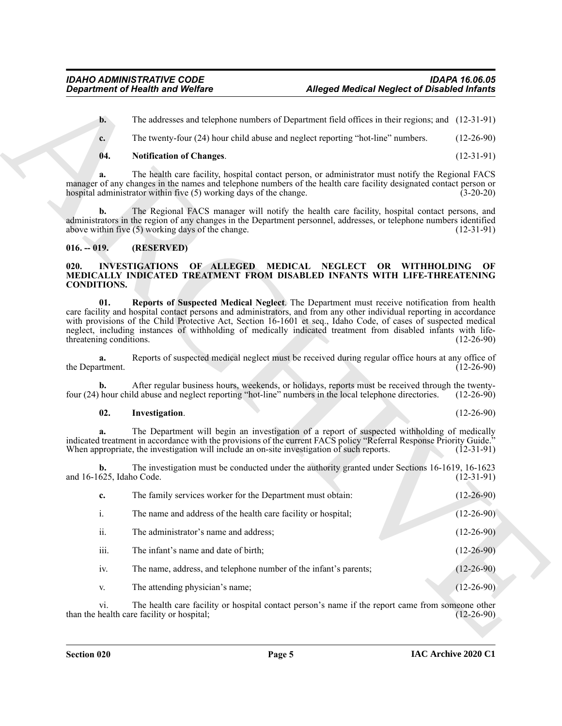#### <span id="page-4-2"></span>**04. Notification of Changes**. (12-31-91)

#### <span id="page-4-0"></span>**016. -- 019. (RESERVED)**

#### <span id="page-4-5"></span><span id="page-4-3"></span><span id="page-4-1"></span>**020. INVESTIGATIONS OF ALLEGED MEDICAL NEGLECT OR WITHHOLDING OF MEDICALLY INDICATED TREATMENT FROM DISABLED INFANTS WITH LIFE-THREATENING CONDITIONS.**

#### <span id="page-4-4"></span>**02. Investigation**. (12-26-90)

|                                | <b>Department of Health and Welfare</b>                                                    | <b>Alleged Medical Neglect of Disabled Infants</b>                                                                                                                                                                                                                                                                                                                                                                                                     |              |
|--------------------------------|--------------------------------------------------------------------------------------------|--------------------------------------------------------------------------------------------------------------------------------------------------------------------------------------------------------------------------------------------------------------------------------------------------------------------------------------------------------------------------------------------------------------------------------------------------------|--------------|
| $\mathbf{b}$ .                 |                                                                                            | The addresses and telephone numbers of Department field offices in their regions; and (12-31-91)                                                                                                                                                                                                                                                                                                                                                       |              |
| c.                             |                                                                                            | The twenty-four (24) hour child abuse and neglect reporting "hot-line" numbers.                                                                                                                                                                                                                                                                                                                                                                        | $(12-26-90)$ |
| 04.                            | <b>Notification of Changes.</b>                                                            |                                                                                                                                                                                                                                                                                                                                                                                                                                                        | $(12-31-91)$ |
|                                | hospital administrator within five (5) working days of the change.                         | The health care facility, hospital contact person, or administrator must notify the Regional FACS<br>manager of any changes in the names and telephone numbers of the health care facility designated contact person or                                                                                                                                                                                                                                | $(3-20-20)$  |
| b.                             | above within five (5) working days of the change.                                          | The Regional FACS manager will notify the health care facility, hospital contact persons, and<br>administrators in the region of any changes in the Department personnel, addresses, or telephone numbers identified                                                                                                                                                                                                                                   | $(12-31-91)$ |
| $016. - 019.$                  | (RESERVED)                                                                                 |                                                                                                                                                                                                                                                                                                                                                                                                                                                        |              |
| 020.<br><b>CONDITIONS.</b>     |                                                                                            | INVESTIGATIONS OF ALLEGED MEDICAL NEGLECT OR WITHHOLDING<br>MEDICALLY INDICATED TREATMENT FROM DISABLED INFANTS WITH LIFE-THREATENING                                                                                                                                                                                                                                                                                                                  | OF           |
| 01.<br>threatening conditions. |                                                                                            | Reports of Suspected Medical Neglect. The Department must receive notification from health<br>care facility and hospital contact persons and administrators, and from any other individual reporting in accordance<br>with provisions of the Child Protective Act, Section 16-1601 et seq., Idaho Code, of cases of suspected medical<br>neglect, including instances of withholding of medically indicated treatment from disabled infants with life- | $(12-26-90)$ |
| a.<br>the Department.          |                                                                                            | Reports of suspected medical neglect must be received during regular office hours at any office of                                                                                                                                                                                                                                                                                                                                                     | $(12-26-90)$ |
| b.                             |                                                                                            | After regular business hours, weekends, or holidays, reports must be received through the twenty-<br>four (24) hour child abuse and neglect reporting "hot-line" numbers in the local telephone directories.                                                                                                                                                                                                                                           | $(12-26-90)$ |
| 02.                            | Investigation.                                                                             |                                                                                                                                                                                                                                                                                                                                                                                                                                                        | $(12-26-90)$ |
| a.                             | When appropriate, the investigation will include an on-site investigation of such reports. | The Department will begin an investigation of a report of suspected withholding of medically<br>indicated treatment in accordance with the provisions of the current FACS policy "Referral Response Priority Guide."                                                                                                                                                                                                                                   | $(12-31-91)$ |
| b.<br>and 16-1625, Idaho Code. |                                                                                            | The investigation must be conducted under the authority granted under Sections 16-1619, 16-1623                                                                                                                                                                                                                                                                                                                                                        | $(12-31-91)$ |
| c.                             | The family services worker for the Department must obtain:                                 |                                                                                                                                                                                                                                                                                                                                                                                                                                                        | $(12-26-90)$ |
| i.                             | The name and address of the health care facility or hospital;                              |                                                                                                                                                                                                                                                                                                                                                                                                                                                        | $(12-26-90)$ |
| ii.                            | The administrator's name and address;                                                      |                                                                                                                                                                                                                                                                                                                                                                                                                                                        | $(12-26-90)$ |
| iii.                           | The infant's name and date of birth;                                                       |                                                                                                                                                                                                                                                                                                                                                                                                                                                        | $(12-26-90)$ |
| iv.                            | The name, address, and telephone number of the infant's parents;                           |                                                                                                                                                                                                                                                                                                                                                                                                                                                        | $(12-26-90)$ |
| V.                             | The attending physician's name;                                                            |                                                                                                                                                                                                                                                                                                                                                                                                                                                        | $(12-26-90)$ |
|                                |                                                                                            |                                                                                                                                                                                                                                                                                                                                                                                                                                                        |              |
| vi.                            | than the health care facility or hospital;                                                 | The health care facility or hospital contact person's name if the report came from someone other                                                                                                                                                                                                                                                                                                                                                       | $(12-26-90)$ |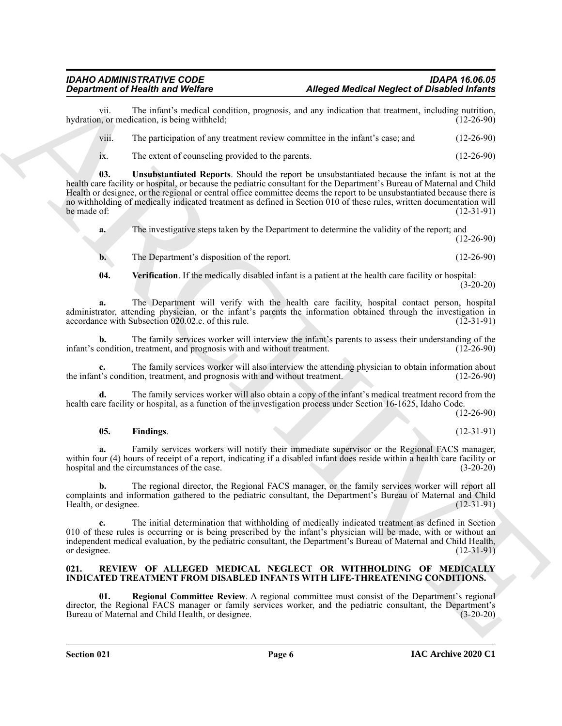vii. The infant's medical condition, prognosis, and any indication that treatment, including nutrition, hydration, or medication, is being withheld;

viii. The participation of any treatment review committee in the infant's case; and (12-26-90)

<span id="page-5-2"></span>ix. The extent of counseling provided to the parents. (12-26-90)

**Department of Health winds**<br>
Altoped Medical Megher of Danislei of the signal particle consistent programs. Altoped Medical Megher of Danislei of the signal particle of the signal particle of the signal particle of the s **03. Unsubstantiated Reports**. Should the report be unsubstantiated because the infant is not at the health care facility or hospital, or because the pediatric consultant for the Department's Bureau of Maternal and Child Health or designee, or the regional or central office committee deems the report to be unsubstantiated because there is no withholding of medically indicated treatment as defined in Section 010 of these rules, written documentation will<br>the made of: (12-31-91) be made of:  $(12-31-91)$ 

**a.** The investigative steps taken by the Department to determine the validity of the report; and (12-26-90)

**b.** The Department's disposition of the report. (12-26-90)

<span id="page-5-3"></span>**04. Verification**. If the medically disabled infant is a patient at the health care facility or hospital:  $(3-20-20)$ 

**a.** The Department will verify with the health care facility, hospital contact person, hospital administrator, attending physician, or the infant's parents the information obtained through the investigation in accordance with Subsection 020.02.c. of this rule. (12-31-91)

**b.** The family services worker will interview the infant's parents to assess their understanding of the infant's condition, treatment, and prognosis with and without treatment. (12-26-90)

**c.** The family services worker will also interview the attending physician to obtain information about the infant's condition, treatment, and prognosis with and without treatment. (12-26-90)

**d.** The family services worker will also obtain a copy of the infant's medical treatment record from the health care facility or hospital, as a function of the investigation process under Section 16-1625, Idaho Code.

(12-26-90)

#### <span id="page-5-1"></span>**05. Findings**. (12-31-91)

Family services workers will notify their immediate supervisor or the Regional FACS manager, within four (4) hours of receipt of a report, indicating if a disabled infant does reside within a health care facility or hospital and the circumstances of the case. hospital and the circumstances of the case.

**b.** The regional director, the Regional FACS manager, or the family services worker will report all complaints and information gathered to the pediatric consultant, the Department's Bureau of Maternal and Child Health, or designee.

**c.** The initial determination that withholding of medically indicated treatment as defined in Section 010 of these rules is occurring or is being prescribed by the infant's physician will be made, with or without an independent medical evaluation, by the pediatric consultant, the Department's Bureau of Maternal and Child Health, or designee. (12-31-91) or designee. (12-31-91)

#### <span id="page-5-4"></span><span id="page-5-0"></span>**021. REVIEW OF ALLEGED MEDICAL NEGLECT OR WITHHOLDING OF MEDICALLY INDICATED TREATMENT FROM DISABLED INFANTS WITH LIFE-THREATENING CONDITIONS.**

<span id="page-5-5"></span>**01. Regional Committee Review**. A regional committee must consist of the Department's regional director, the Regional FACS manager or family services worker, and the pediatric consultant, the Department's Bureau of Maternal and Child Health, or designee.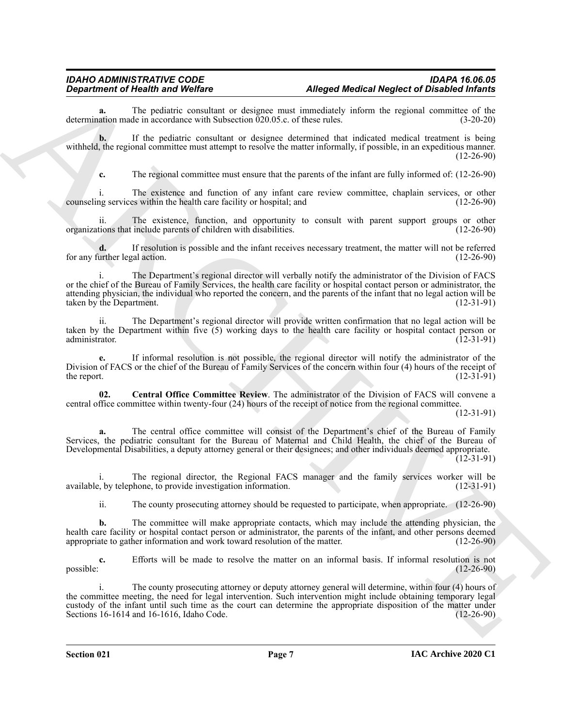**a.** The pediatric consultant or designee must immediately inform the regional committee of the ation made in accordance with Subsection 020.05.c. of these rules. (3-20-20) determination made in accordance with Subsection  $\overline{0}20.05.c.$  of these rules.

**b.** If the pediatric consultant or designee determined that indicated medical treatment is being withheld, the regional committee must attempt to resolve the matter informally, if possible, in an expeditious manner.  $(12-26-90)$ 

**c.** The regional committee must ensure that the parents of the infant are fully informed of: (12-26-90)

i. The existence and function of any infant care review committee, chaplain services, or other ng services within the health care facility or hospital; and (12-26-90) counseling services within the health care facility or hospital; and

ii. The existence, function, and opportunity to consult with parent support groups or other organizations that include parents of children with disabilities. (12-26-90)

**d.** If resolution is possible and the infant receives necessary treatment, the matter will not be referred urther legal action. (12-26-90) for any further legal action.

**Department of New Works of Music Control and Control and Control and Control and Control and Control and Control and Control and Control and Control and Control and Control and Control and Control and Control and Control** i. The Department's regional director will verbally notify the administrator of the Division of FACS or the chief of the Bureau of Family Services, the health care facility or hospital contact person or administrator, the attending physician, the individual who reported the concern, and the parents of the infant that no legal action will be taken by the Department. (12-31-91) taken by the Department.

ii. The Department's regional director will provide written confirmation that no legal action will be taken by the Department within five (5) working days to the health care facility or hospital contact person or<br>(12-31-91) (12-31-91) administrator. (12-31-91)

**e.** If informal resolution is not possible, the regional director will notify the administrator of the Division of FACS or the chief of the Bureau of Family Services of the concern within four (4) hours of the receipt of the report.  $(12-31-91)$ 

<span id="page-6-0"></span>**02. Central Office Committee Review**. The administrator of the Division of FACS will convene a central office committee within twenty-four (24) hours of the receipt of notice from the regional committee.

(12-31-91)

**a.** The central office committee will consist of the Department's chief of the Bureau of Family Services, the pediatric consultant for the Bureau of Maternal and Child Health, the chief of the Bureau of Developmental Disabilities, a deputy attorney general or their designees; and other individuals deemed appropriate.

(12-31-91)

i. The regional director, the Regional FACS manager and the family services worker will be available, by telephone, to provide investigation information. (12-31-91)

ii. The county prosecuting attorney should be requested to participate, when appropriate. (12-26-90)

**b.** The committee will make appropriate contacts, which may include the attending physician, the health care facility or hospital contact person or administrator, the parents of the infant, and other persons deemed appropriate to gather information and work toward resolution of the matter. (12-26-90)

**c.** Efforts will be made to resolve the matter on an informal basis. If informal resolution is not  $_{\rm possible:}$  (12-26-90)

i. The county prosecuting attorney or deputy attorney general will determine, within four (4) hours of the committee meeting, the need for legal intervention. Such intervention might include obtaining temporary legal custody of the infant until such time as the court can determine the appropriate disposition of the matter under<br>Sections 16-1614 and 16-1616, Idaho Code. (12-26-90) Sections 16-1614 and 16-1616, Idaho Code.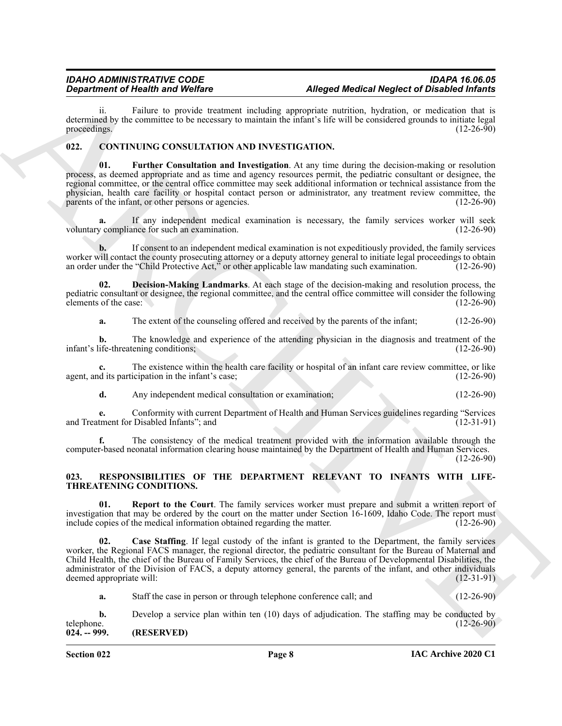ii. Failure to provide treatment including appropriate nutrition, hydration, or medication that is determined by the committee to be necessary to maintain the infant's life will be considered grounds to initiate legal proceedings.  $(12-26-90)$ 

#### <span id="page-7-5"></span><span id="page-7-3"></span><span id="page-7-0"></span>**022. CONTINUING CONSULTATION AND INVESTIGATION.**

**Equivariant of Nearly is always the main variant and the properties of the case of the stable of China is always the stable of Nearly Internal the Stable of The Stable of The Stable of The Stable of The Stable of The Sta 01. Further Consultation and Investigation**. At any time during the decision-making or resolution process, as deemed appropriate and as time and agency resources permit, the pediatric consultant or designee, the regional committee, or the central office committee may seek additional information or technical assistance from the physician, health care facility or hospital contact person or administrator, any treatment review committee, the parents of the infant, or other persons or agencies. (12-26-90) parents of the infant, or other persons or agencies.

**a.** If any independent medical examination is necessary, the family services worker will seek voluntary compliance for such an examination. (12-26-90)

**b.** If consent to an independent medical examination is not expeditiously provided, the family services worker will contact the county prosecuting attorney or a deputy attorney general to initiate legal proceedings to obtain an order under the "Child Protective Act," or other applicable law mandating such examination. (12-26-90)

**02. Decision-Making Landmarks**. At each stage of the decision-making and resolution process, the pediatric consultant or designee, the regional committee, and the central office committee will consider the following elements of the case: (12-26-90) elements of the case:

<span id="page-7-4"></span>**a.** The extent of the counseling offered and received by the parents of the infant; (12-26-90)

**b.** The knowledge and experience of the attending physician in the diagnosis and treatment of the infant's life-threatening conditions; (12-26-90)

**c.** The existence within the health care facility or hospital of an infant care review committee, or like agent, and its participation in the infant's case; (12-26-90)

**d.** Any independent medical consultation or examination; (12-26-90)

**e.** Conformity with current Department of Health and Human Services guidelines regarding "Services and Treatment for Disabled Infants"; and

**f.** The consistency of the medical treatment provided with the information available through the computer-based neonatal information clearing house maintained by the Department of Health and Human Services. (12-26-90)

<span id="page-7-6"></span><span id="page-7-1"></span>**023. RESPONSIBILITIES OF THE DEPARTMENT RELEVANT TO INFANTS WITH LIFE-THREATENING CONDITIONS.**

<span id="page-7-8"></span>**01. Report to the Court**. The family services worker must prepare and submit a written report of investigation that may be ordered by the court on the matter under Section 16-1609, Idaho Code. The report must<br>include copies of the medical information obtained regarding the matter. (12-26-90) include copies of the medical information obtained regarding the matter.

<span id="page-7-7"></span>**02. Case Staffing**. If legal custody of the infant is granted to the Department, the family services worker, the Regional FACS manager, the regional director, the pediatric consultant for the Bureau of Maternal and Child Health, the chief of the Bureau of Family Services, the chief of the Bureau of Developmental Disabilities, the administrator of the Division of FACS, a deputy attorney general, the parents of the infant, and other individuals deemed appropriate will: (12-31-91)

**a.** Staff the case in person or through telephone conference call; and (12-26-90)

<span id="page-7-2"></span>**b.** Develop a service plan within ten (10) days of adjudication. The staffing may be conducted by telephone. (12-26-90) **024. -- 999. (RESERVED)**

**Section 022 Page 8**